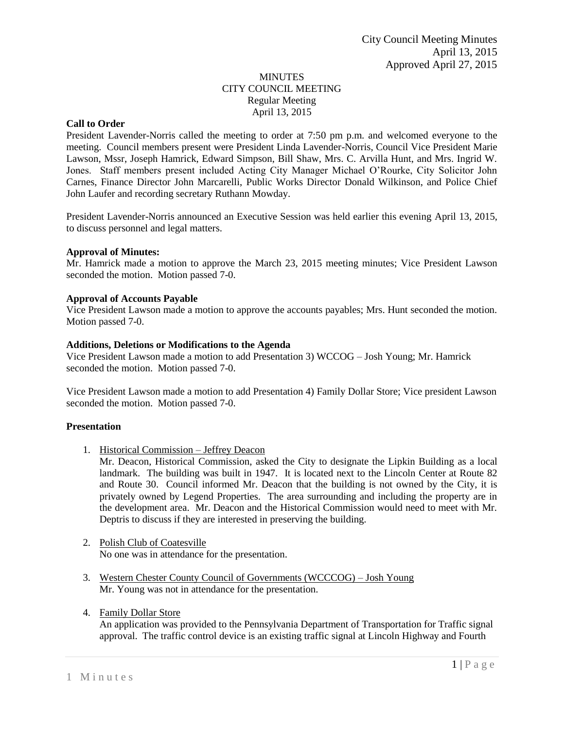### MINUTES CITY COUNCIL MEETING Regular Meeting April 13, 2015

## **Call to Order**

President Lavender-Norris called the meeting to order at 7:50 pm p.m. and welcomed everyone to the meeting. Council members present were President Linda Lavender-Norris, Council Vice President Marie Lawson, Mssr, Joseph Hamrick, Edward Simpson, Bill Shaw, Mrs. C. Arvilla Hunt, and Mrs. Ingrid W. Jones. Staff members present included Acting City Manager Michael O'Rourke, City Solicitor John Carnes, Finance Director John Marcarelli, Public Works Director Donald Wilkinson, and Police Chief John Laufer and recording secretary Ruthann Mowday.

President Lavender-Norris announced an Executive Session was held earlier this evening April 13, 2015, to discuss personnel and legal matters.

### **Approval of Minutes:**

Mr. Hamrick made a motion to approve the March 23, 2015 meeting minutes; Vice President Lawson seconded the motion. Motion passed 7-0.

### **Approval of Accounts Payable**

Vice President Lawson made a motion to approve the accounts payables; Mrs. Hunt seconded the motion. Motion passed 7-0.

### **Additions, Deletions or Modifications to the Agenda**

Vice President Lawson made a motion to add Presentation 3) WCCOG – Josh Young; Mr. Hamrick seconded the motion. Motion passed 7-0.

Vice President Lawson made a motion to add Presentation 4) Family Dollar Store; Vice president Lawson seconded the motion. Motion passed 7-0.

### **Presentation**

1. Historical Commission – Jeffrey Deacon

Mr. Deacon, Historical Commission, asked the City to designate the Lipkin Building as a local landmark. The building was built in 1947. It is located next to the Lincoln Center at Route 82 and Route 30. Council informed Mr. Deacon that the building is not owned by the City, it is privately owned by Legend Properties. The area surrounding and including the property are in the development area. Mr. Deacon and the Historical Commission would need to meet with Mr. Deptris to discuss if they are interested in preserving the building.

- 2. Polish Club of Coatesville No one was in attendance for the presentation.
- 3. Western Chester County Council of Governments (WCCCOG) Josh Young Mr. Young was not in attendance for the presentation.
- 4. Family Dollar Store

An application was provided to the Pennsylvania Department of Transportation for Traffic signal approval. The traffic control device is an existing traffic signal at Lincoln Highway and Fourth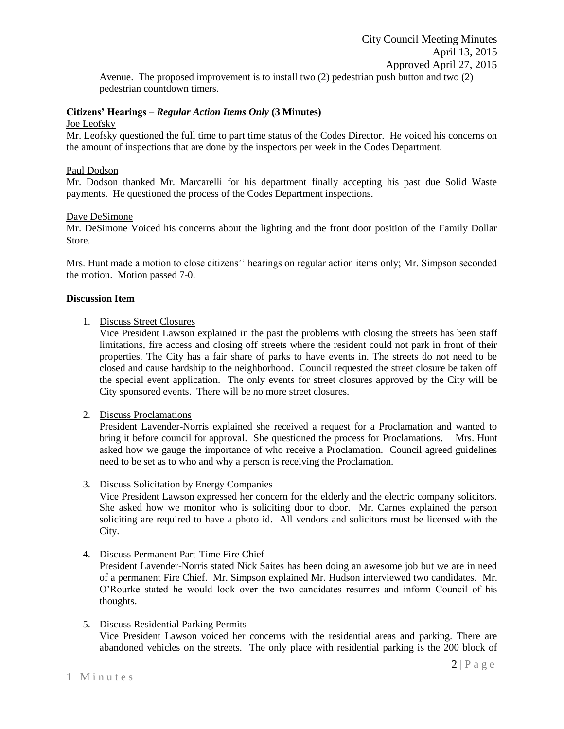Avenue. The proposed improvement is to install two (2) pedestrian push button and two (2) pedestrian countdown timers.

## **Citizens' Hearings –** *Regular Action Items Only* **(3 Minutes)**

Joe Leofsky

Mr. Leofsky questioned the full time to part time status of the Codes Director. He voiced his concerns on the amount of inspections that are done by the inspectors per week in the Codes Department.

### Paul Dodson

Mr. Dodson thanked Mr. Marcarelli for his department finally accepting his past due Solid Waste payments. He questioned the process of the Codes Department inspections.

### Dave DeSimone

Mr. DeSimone Voiced his concerns about the lighting and the front door position of the Family Dollar Store.

Mrs. Hunt made a motion to close citizens'' hearings on regular action items only; Mr. Simpson seconded the motion. Motion passed 7-0.

### **Discussion Item**

1. Discuss Street Closures

Vice President Lawson explained in the past the problems with closing the streets has been staff limitations, fire access and closing off streets where the resident could not park in front of their properties. The City has a fair share of parks to have events in. The streets do not need to be closed and cause hardship to the neighborhood. Council requested the street closure be taken off the special event application. The only events for street closures approved by the City will be City sponsored events. There will be no more street closures.

2. Discuss Proclamations

President Lavender-Norris explained she received a request for a Proclamation and wanted to bring it before council for approval. She questioned the process for Proclamations. Mrs. Hunt asked how we gauge the importance of who receive a Proclamation. Council agreed guidelines need to be set as to who and why a person is receiving the Proclamation.

3. Discuss Solicitation by Energy Companies

Vice President Lawson expressed her concern for the elderly and the electric company solicitors. She asked how we monitor who is soliciting door to door. Mr. Carnes explained the person soliciting are required to have a photo id. All vendors and solicitors must be licensed with the City.

4. Discuss Permanent Part-Time Fire Chief

President Lavender-Norris stated Nick Saites has been doing an awesome job but we are in need of a permanent Fire Chief. Mr. Simpson explained Mr. Hudson interviewed two candidates. Mr. O'Rourke stated he would look over the two candidates resumes and inform Council of his thoughts.

5. Discuss Residential Parking Permits

Vice President Lawson voiced her concerns with the residential areas and parking. There are abandoned vehicles on the streets. The only place with residential parking is the 200 block of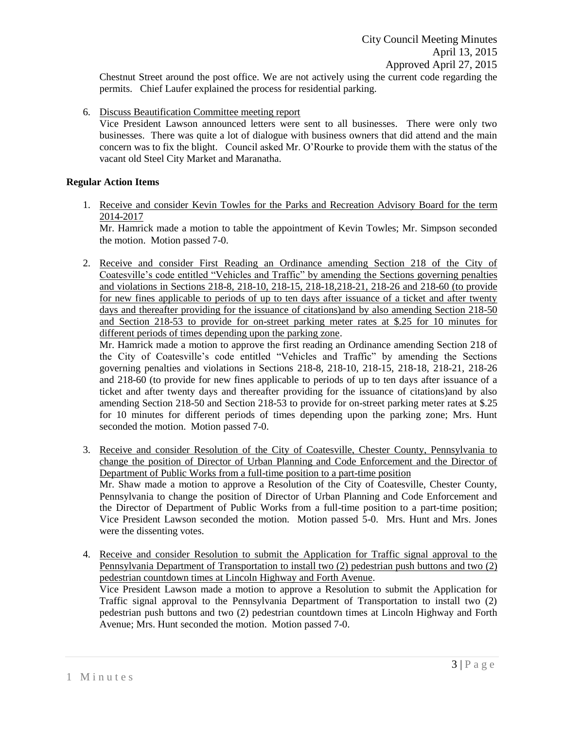City Council Meeting Minutes April 13, 2015 Approved April 27, 2015

Chestnut Street around the post office. We are not actively using the current code regarding the permits. Chief Laufer explained the process for residential parking.

6. Discuss Beautification Committee meeting report

Vice President Lawson announced letters were sent to all businesses. There were only two businesses. There was quite a lot of dialogue with business owners that did attend and the main concern was to fix the blight. Council asked Mr. O'Rourke to provide them with the status of the vacant old Steel City Market and Maranatha.

## **Regular Action Items**

1. Receive and consider Kevin Towles for the Parks and Recreation Advisory Board for the term 2014-2017

Mr. Hamrick made a motion to table the appointment of Kevin Towles; Mr. Simpson seconded the motion. Motion passed 7-0.

2. Receive and consider First Reading an Ordinance amending Section 218 of the City of Coatesville's code entitled "Vehicles and Traffic" by amending the Sections governing penalties and violations in Sections 218-8, 218-10, 218-15, 218-18,218-21, 218-26 and 218-60 (to provide for new fines applicable to periods of up to ten days after issuance of a ticket and after twenty days and thereafter providing for the issuance of citations)and by also amending Section 218-50 and Section 218-53 to provide for on-street parking meter rates at \$.25 for 10 minutes for different periods of times depending upon the parking zone.

Mr. Hamrick made a motion to approve the first reading an Ordinance amending Section 218 of the City of Coatesville's code entitled "Vehicles and Traffic" by amending the Sections governing penalties and violations in Sections 218-8, 218-10, 218-15, 218-18, 218-21, 218-26 and 218-60 (to provide for new fines applicable to periods of up to ten days after issuance of a ticket and after twenty days and thereafter providing for the issuance of citations)and by also amending Section 218-50 and Section 218-53 to provide for on-street parking meter rates at \$.25 for 10 minutes for different periods of times depending upon the parking zone; Mrs. Hunt seconded the motion. Motion passed 7-0.

- 3. Receive and consider Resolution of the City of Coatesville, Chester County, Pennsylvania to change the position of Director of Urban Planning and Code Enforcement and the Director of Department of Public Works from a full-time position to a part-time position Mr. Shaw made a motion to approve a Resolution of the City of Coatesville, Chester County, Pennsylvania to change the position of Director of Urban Planning and Code Enforcement and the Director of Department of Public Works from a full-time position to a part-time position; Vice President Lawson seconded the motion. Motion passed 5-0. Mrs. Hunt and Mrs. Jones were the dissenting votes.
- 4. Receive and consider Resolution to submit the Application for Traffic signal approval to the Pennsylvania Department of Transportation to install two (2) pedestrian push buttons and two (2) pedestrian countdown times at Lincoln Highway and Forth Avenue. Vice President Lawson made a motion to approve a Resolution to submit the Application for Traffic signal approval to the Pennsylvania Department of Transportation to install two (2) pedestrian push buttons and two (2) pedestrian countdown times at Lincoln Highway and Forth Avenue; Mrs. Hunt seconded the motion. Motion passed 7-0.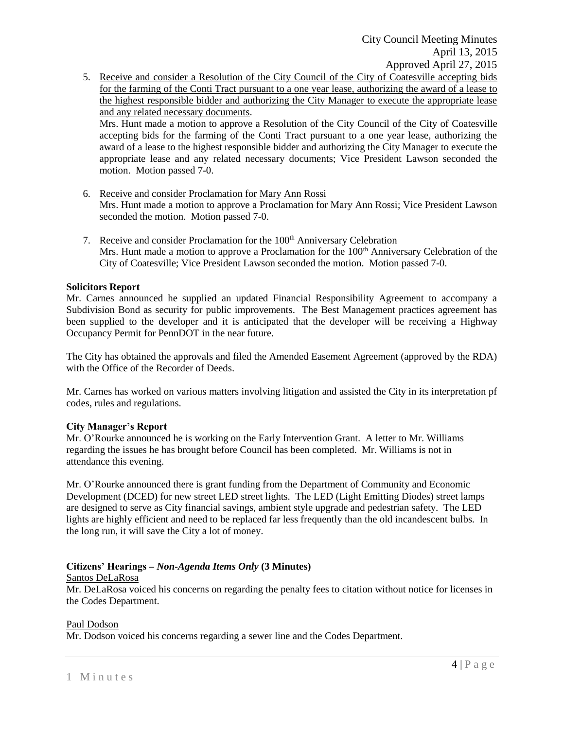5. Receive and consider a Resolution of the City Council of the City of Coatesville accepting bids for the farming of the Conti Tract pursuant to a one year lease, authorizing the award of a lease to the highest responsible bidder and authorizing the City Manager to execute the appropriate lease and any related necessary documents.

Mrs. Hunt made a motion to approve a Resolution of the City Council of the City of Coatesville accepting bids for the farming of the Conti Tract pursuant to a one year lease, authorizing the award of a lease to the highest responsible bidder and authorizing the City Manager to execute the appropriate lease and any related necessary documents; Vice President Lawson seconded the motion. Motion passed 7-0.

- 6. Receive and consider Proclamation for Mary Ann Rossi Mrs. Hunt made a motion to approve a Proclamation for Mary Ann Rossi; Vice President Lawson seconded the motion. Motion passed 7-0.
- 7. Receive and consider Proclamation for the 100<sup>th</sup> Anniversary Celebration Mrs. Hunt made a motion to approve a Proclamation for the  $100<sup>th</sup>$  Anniversary Celebration of the City of Coatesville; Vice President Lawson seconded the motion. Motion passed 7-0.

## **Solicitors Report**

Mr. Carnes announced he supplied an updated Financial Responsibility Agreement to accompany a Subdivision Bond as security for public improvements. The Best Management practices agreement has been supplied to the developer and it is anticipated that the developer will be receiving a Highway Occupancy Permit for PennDOT in the near future.

The City has obtained the approvals and filed the Amended Easement Agreement (approved by the RDA) with the Office of the Recorder of Deeds.

Mr. Carnes has worked on various matters involving litigation and assisted the City in its interpretation pf codes, rules and regulations.

## **City Manager's Report**

Mr. O'Rourke announced he is working on the Early Intervention Grant. A letter to Mr. Williams regarding the issues he has brought before Council has been completed. Mr. Williams is not in attendance this evening.

Mr. O'Rourke announced there is grant funding from the Department of Community and Economic Development (DCED) for new street LED street lights. The LED (Light Emitting Diodes) street lamps are designed to serve as City financial savings, ambient style upgrade and pedestrian safety. The LED lights are highly efficient and need to be replaced far less frequently than the old incandescent bulbs. In the long run, it will save the City a lot of money.

# **Citizens' Hearings –** *Non-Agenda Items Only* **(3 Minutes)**

## Santos DeLaRosa

Mr. DeLaRosa voiced his concerns on regarding the penalty fees to citation without notice for licenses in the Codes Department.

## Paul Dodson

Mr. Dodson voiced his concerns regarding a sewer line and the Codes Department.